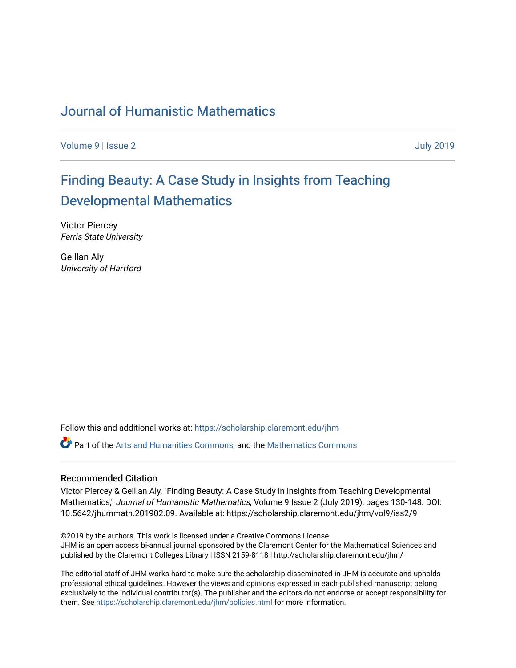# [Journal of Humanistic Mathematics](https://scholarship.claremont.edu/jhm)

[Volume 9](https://scholarship.claremont.edu/jhm/vol9) | [Issue 2](https://scholarship.claremont.edu/jhm/vol9/iss2) [July 2019](https://scholarship.claremont.edu/jhm/vol9/iss2) 

# [Finding Beauty: A Case Study in Insights from Teaching](https://scholarship.claremont.edu/jhm/vol9/iss2/9) [Developmental Mathematics](https://scholarship.claremont.edu/jhm/vol9/iss2/9)

Victor Piercey Ferris State University

Geillan Aly University of Hartford

Follow this and additional works at: [https://scholarship.claremont.edu/jhm](https://scholarship.claremont.edu/jhm?utm_source=scholarship.claremont.edu%2Fjhm%2Fvol9%2Fiss2%2F9&utm_medium=PDF&utm_campaign=PDFCoverPages)

Part of the [Arts and Humanities Commons,](http://network.bepress.com/hgg/discipline/438?utm_source=scholarship.claremont.edu%2Fjhm%2Fvol9%2Fiss2%2F9&utm_medium=PDF&utm_campaign=PDFCoverPages) and the [Mathematics Commons](http://network.bepress.com/hgg/discipline/174?utm_source=scholarship.claremont.edu%2Fjhm%2Fvol9%2Fiss2%2F9&utm_medium=PDF&utm_campaign=PDFCoverPages) 

#### Recommended Citation

Victor Piercey & Geillan Aly, "Finding Beauty: A Case Study in Insights from Teaching Developmental Mathematics," Journal of Humanistic Mathematics, Volume 9 Issue 2 (July 2019), pages 130-148. DOI: 10.5642/jhummath.201902.09. Available at: https://scholarship.claremont.edu/jhm/vol9/iss2/9

©2019 by the authors. This work is licensed under a Creative Commons License. JHM is an open access bi-annual journal sponsored by the Claremont Center for the Mathematical Sciences and published by the Claremont Colleges Library | ISSN 2159-8118 | http://scholarship.claremont.edu/jhm/

The editorial staff of JHM works hard to make sure the scholarship disseminated in JHM is accurate and upholds professional ethical guidelines. However the views and opinions expressed in each published manuscript belong exclusively to the individual contributor(s). The publisher and the editors do not endorse or accept responsibility for them. See<https://scholarship.claremont.edu/jhm/policies.html> for more information.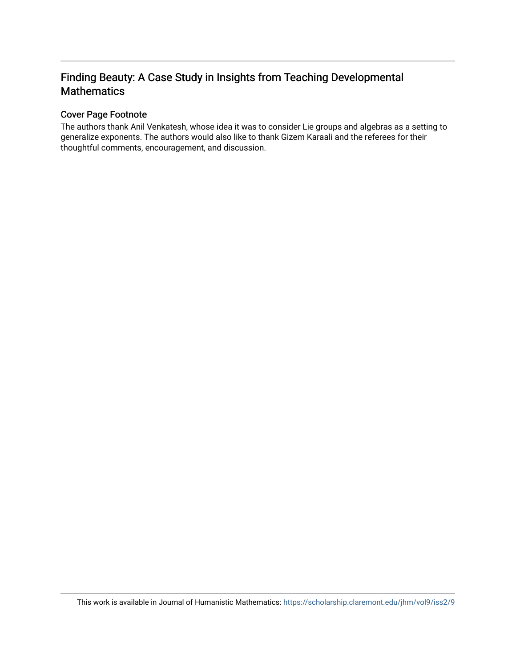# Finding Beauty: A Case Study in Insights from Teaching Developmental **Mathematics**

### Cover Page Footnote

The authors thank Anil Venkatesh, whose idea it was to consider Lie groups and algebras as a setting to generalize exponents. The authors would also like to thank Gizem Karaali and the referees for their thoughtful comments, encouragement, and discussion.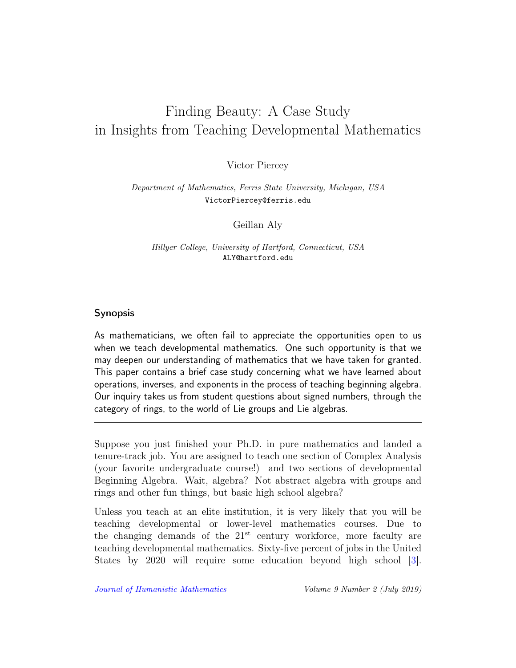# Finding Beauty: A Case Study in Insights from Teaching Developmental Mathematics

Victor Piercey

Department of Mathematics, Ferris State University, Michigan, USA VictorPiercey@ferris.edu

Geillan Aly

Hillyer College, University of Hartford, Connecticut, USA ALY@hartford.edu

### Synopsis

As mathematicians, we often fail to appreciate the opportunities open to us when we teach developmental mathematics. One such opportunity is that we may deepen our understanding of mathematics that we have taken for granted. This paper contains a brief case study concerning what we have learned about operations, inverses, and exponents in the process of teaching beginning algebra. Our inquiry takes us from student questions about signed numbers, through the category of rings, to the world of Lie groups and Lie algebras.

Suppose you just finished your Ph.D. in pure mathematics and landed a tenure-track job. You are assigned to teach one section of Complex Analysis (your favorite undergraduate course!) and two sections of developmental Beginning Algebra. Wait, algebra? Not abstract algebra with groups and rings and other fun things, but basic high school algebra?

Unless you teach at an elite institution, it is very likely that you will be teaching developmental or lower-level mathematics courses. Due to the changing demands of the  $21<sup>st</sup>$  century workforce, more faculty are teaching developmental mathematics. Sixty-five percent of jobs in the United States by 2020 will require some education beyond high school [\[3\]](#page-18-0).

[Journal of Humanistic Mathematics](http://scholarship.claremont.edu/jhm/) Volume 9 Number 2 (July 2019)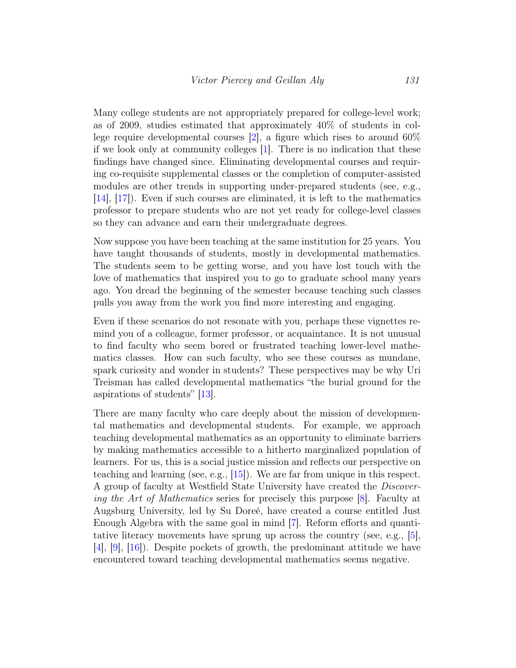Many college students are not appropriately prepared for college-level work; as of 2009, studies estimated that approximately 40% of students in college require developmental courses [\[2\]](#page-18-1), a figure which rises to around 60% if we look only at community colleges [\[1\]](#page-18-2). There is no indication that these findings have changed since. Eliminating developmental courses and requiring co-requisite supplemental classes or the completion of computer-assisted modules are other trends in supporting under-prepared students (see, e.g., [\[14\]](#page-19-0), [\[17\]](#page-20-0)). Even if such courses are eliminated, it is left to the mathematics professor to prepare students who are not yet ready for college-level classes so they can advance and earn their undergraduate degrees.

Now suppose you have been teaching at the same institution for 25 years. You have taught thousands of students, mostly in developmental mathematics. The students seem to be getting worse, and you have lost touch with the love of mathematics that inspired you to go to graduate school many years ago. You dread the beginning of the semester because teaching such classes pulls you away from the work you find more interesting and engaging.

Even if these scenarios do not resonate with you, perhaps these vignettes remind you of a colleague, former professor, or acquaintance. It is not unusual to find faculty who seem bored or frustrated teaching lower-level mathematics classes. How can such faculty, who see these courses as mundane, spark curiosity and wonder in students? These perspectives may be why Uri Treisman has called developmental mathematics "the burial ground for the aspirations of students" [\[13\]](#page-19-1).

There are many faculty who care deeply about the mission of developmental mathematics and developmental students. For example, we approach teaching developmental mathematics as an opportunity to eliminate barriers by making mathematics accessible to a hitherto marginalized population of learners. For us, this is a social justice mission and reflects our perspective on teaching and learning (see, e.g., [\[15\]](#page-19-2)). We are far from unique in this respect. A group of faculty at Westfield State University have created the Discovering the Art of Mathematics series for precisely this purpose [\[8\]](#page-19-3). Faculty at Augsburg University, led by Su Doreé, have created a course entitled Just Enough Algebra with the same goal in mind [\[7\]](#page-19-4). Reform efforts and quantitative literacy movements have sprung up across the country (see, e.g., [\[5\]](#page-18-3), [\[4\]](#page-18-4), [\[9\]](#page-19-5), [\[16\]](#page-19-6)). Despite pockets of growth, the predominant attitude we have encountered toward teaching developmental mathematics seems negative.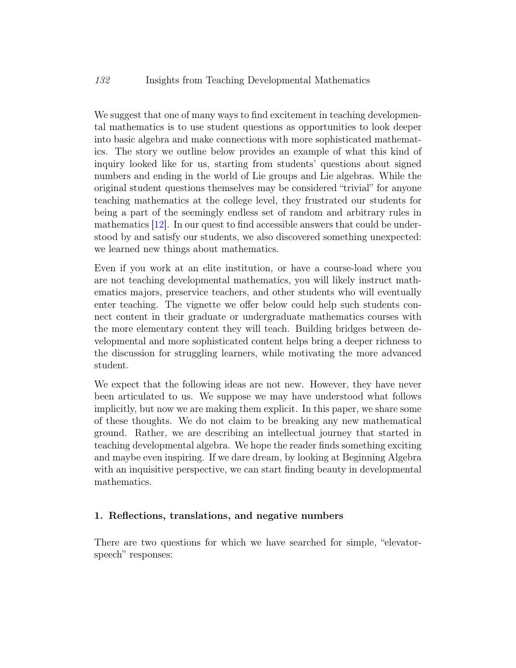We suggest that one of many ways to find excitement in teaching developmental mathematics is to use student questions as opportunities to look deeper into basic algebra and make connections with more sophisticated mathematics. The story we outline below provides an example of what this kind of inquiry looked like for us, starting from students' questions about signed numbers and ending in the world of Lie groups and Lie algebras. While the original student questions themselves may be considered "trivial" for anyone teaching mathematics at the college level, they frustrated our students for being a part of the seemingly endless set of random and arbitrary rules in mathematics [\[12\]](#page-19-7). In our quest to find accessible answers that could be understood by and satisfy our students, we also discovered something unexpected: we learned new things about mathematics.

Even if you work at an elite institution, or have a course-load where you are not teaching developmental mathematics, you will likely instruct mathematics majors, preservice teachers, and other students who will eventually enter teaching. The vignette we offer below could help such students connect content in their graduate or undergraduate mathematics courses with the more elementary content they will teach. Building bridges between developmental and more sophisticated content helps bring a deeper richness to the discussion for struggling learners, while motivating the more advanced student.

We expect that the following ideas are not new. However, they have never been articulated to us. We suppose we may have understood what follows implicitly, but now we are making them explicit. In this paper, we share some of these thoughts. We do not claim to be breaking any new mathematical ground. Rather, we are describing an intellectual journey that started in teaching developmental algebra. We hope the reader finds something exciting and maybe even inspiring. If we dare dream, by looking at Beginning Algebra with an inquisitive perspective, we can start finding beauty in developmental mathematics.

#### 1. Reflections, translations, and negative numbers

There are two questions for which we have searched for simple, "elevatorspeech" responses: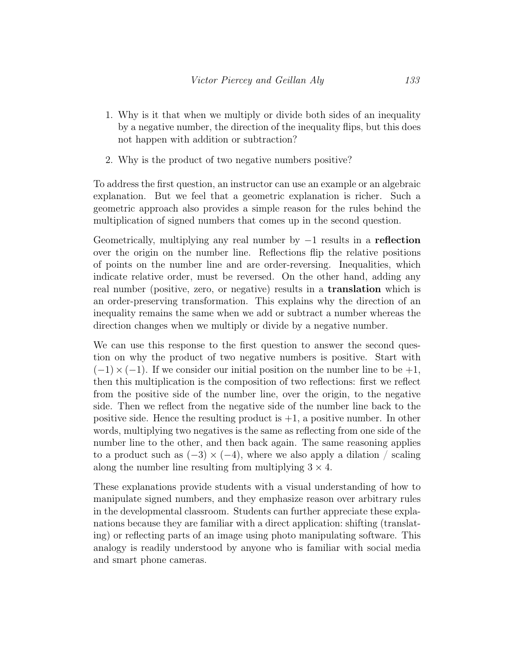- 1. Why is it that when we multiply or divide both sides of an inequality by a negative number, the direction of the inequality flips, but this does not happen with addition or subtraction?
- 2. Why is the product of two negative numbers positive?

To address the first question, an instructor can use an example or an algebraic explanation. But we feel that a geometric explanation is richer. Such a geometric approach also provides a simple reason for the rules behind the multiplication of signed numbers that comes up in the second question.

Geometrically, multiplying any real number by  $-1$  results in a reflection over the origin on the number line. Reflections flip the relative positions of points on the number line and are order-reversing. Inequalities, which indicate relative order, must be reversed. On the other hand, adding any real number (positive, zero, or negative) results in a **translation** which is an order-preserving transformation. This explains why the direction of an inequality remains the same when we add or subtract a number whereas the direction changes when we multiply or divide by a negative number.

We can use this response to the first question to answer the second question on why the product of two negative numbers is positive. Start with  $(-1) \times (-1)$ . If we consider our initial position on the number line to be  $+1$ , then this multiplication is the composition of two reflections: first we reflect from the positive side of the number line, over the origin, to the negative side. Then we reflect from the negative side of the number line back to the positive side. Hence the resulting product is  $+1$ , a positive number. In other words, multiplying two negatives is the same as reflecting from one side of the number line to the other, and then back again. The same reasoning applies to a product such as  $(-3) \times (-4)$ , where we also apply a dilation / scaling along the number line resulting from multiplying  $3 \times 4$ .

These explanations provide students with a visual understanding of how to manipulate signed numbers, and they emphasize reason over arbitrary rules in the developmental classroom. Students can further appreciate these explanations because they are familiar with a direct application: shifting (translating) or reflecting parts of an image using photo manipulating software. This analogy is readily understood by anyone who is familiar with social media and smart phone cameras.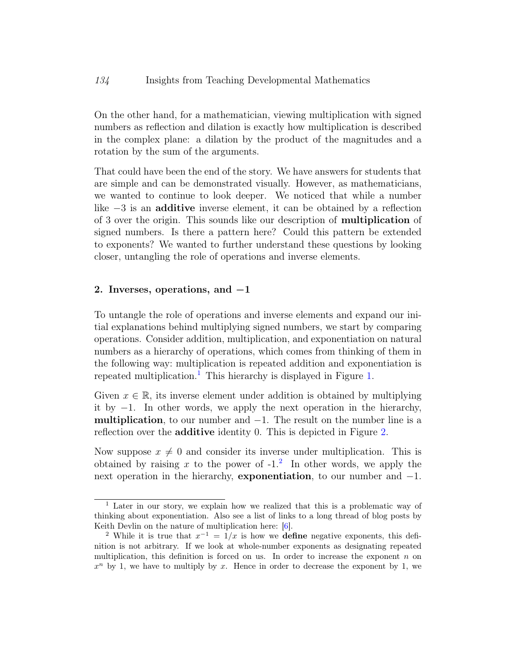On the other hand, for a mathematician, viewing multiplication with signed numbers as reflection and dilation is exactly how multiplication is described in the complex plane: a dilation by the product of the magnitudes and a rotation by the sum of the arguments.

That could have been the end of the story. We have answers for students that are simple and can be demonstrated visually. However, as mathematicians, we wanted to continue to look deeper. We noticed that while a number like −3 is an additive inverse element, it can be obtained by a reflection of 3 over the origin. This sounds like our description of multiplication of signed numbers. Is there a pattern here? Could this pattern be extended to exponents? We wanted to further understand these questions by looking closer, untangling the role of operations and inverse elements.

#### 2. Inverses, operations, and −1

To untangle the role of operations and inverse elements and expand our initial explanations behind multiplying signed numbers, we start by comparing operations. Consider addition, multiplication, and exponentiation on natural numbers as a hierarchy of operations, which comes from thinking of them in the following way: multiplication is repeated addition and exponentiation is repeated multiplication.<sup>[1](#page-6-0)</sup> This hierarchy is displayed in Figure [1.](#page-7-0)

Given  $x \in \mathbb{R}$ , its inverse element under addition is obtained by multiplying it by −1. In other words, we apply the next operation in the hierarchy, multiplication, to our number and  $-1$ . The result on the number line is a reflection over the **additive** identity 0. This is depicted in Figure [2.](#page-8-0)

Now suppose  $x \neq 0$  and consider its inverse under multiplication. This is obtained by raising x to the power of  $-1$ .<sup>[2](#page-6-1)</sup> In other words, we apply the next operation in the hierarchy, exponentiation, to our number and −1.

<span id="page-6-0"></span><sup>&</sup>lt;sup>1</sup> Later in our story, we explain how we realized that this is a problematic way of thinking about exponentiation. Also see a list of links to a long thread of blog posts by Keith Devlin on the nature of multiplication here: [\[6\]](#page-18-5).

<span id="page-6-1"></span><sup>&</sup>lt;sup>2</sup> While it is true that  $x^{-1} = 1/x$  is how we **define** negative exponents, this definition is not arbitrary. If we look at whole-number exponents as designating repeated multiplication, this definition is forced on us. In order to increase the exponent  $n$  on  $x<sup>n</sup>$  by 1, we have to multiply by x. Hence in order to decrease the exponent by 1, we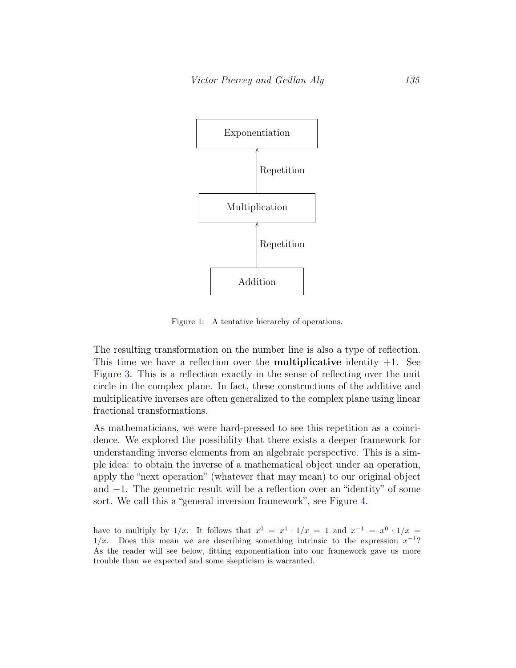

<span id="page-7-0"></span>Figure 1: A tentative hierarchy of operations.

The resulting transformation on the number line is also a type of reflection. This time we have a reflection over the **multiplicative** identity  $+1$ . See Figure [3.](#page-8-1) This is a reflection exactly in the sense of reflecting over the unit circle in the complex plane. In fact, these constructions of the additive and multiplicative inverses are often generalized to the complex plane using linear fractional transformations.

As mathematicians, we were hard-pressed to see this repetition as a coincidence. We explored the possibility that there exists a deeper framework for understanding inverse elements from an algebraic perspective. This is a simple idea: to obtain the inverse of a mathematical object under an operation, apply the "next operation" (whatever that may mean) to our original object and −1. The geometric result will be a reflection over an "identity" of some sort. We call this a "general inversion framework", see Figure [4.](#page-9-0)

have to multiply by  $1/x$ . It follows that  $x^0 = x^1 \cdot 1/x = 1$  and  $x^{-1} = x^0 \cdot 1/x = 1$  $1/x$ . Does this mean we are describing something intrinsic to the expression  $x^{-1}$ ? As the reader will see below, fitting exponentiation into our framework gave us more trouble than we expected and some skepticism is warranted.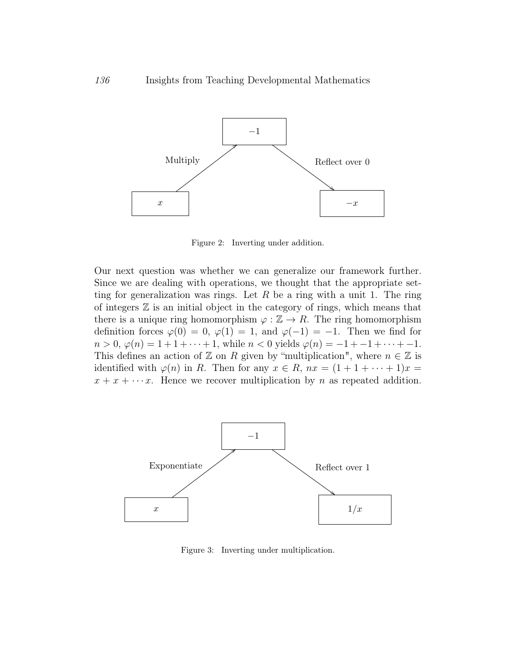

<span id="page-8-0"></span>Figure 2: Inverting under addition.

Our next question was whether we can generalize our framework further. Since we are dealing with operations, we thought that the appropriate setting for generalization was rings. Let  $R$  be a ring with a unit 1. The ring of integers  $\mathbb Z$  is an initial object in the category of rings, which means that there is a unique ring homomorphism  $\varphi : \mathbb{Z} \to R$ . The ring homomorphism definition forces  $\varphi(0) = 0$ ,  $\varphi(1) = 1$ , and  $\varphi(-1) = -1$ . Then we find for  $n > 0$ ,  $\varphi(n) = 1 + 1 + \cdots + 1$ , while  $n < 0$  yields  $\varphi(n) = -1 + -1 + \cdots + -1$ . This defines an action of  $\mathbb Z$  on R given by "multiplication", where  $n \in \mathbb Z$  is identified with  $\varphi(n)$  in R. Then for any  $x \in R$ ,  $nx = (1 + 1 + \cdots + 1)x =$  $x + x + \cdots x$ . Hence we recover multiplication by *n* as repeated addition.



<span id="page-8-1"></span>Figure 3: Inverting under multiplication.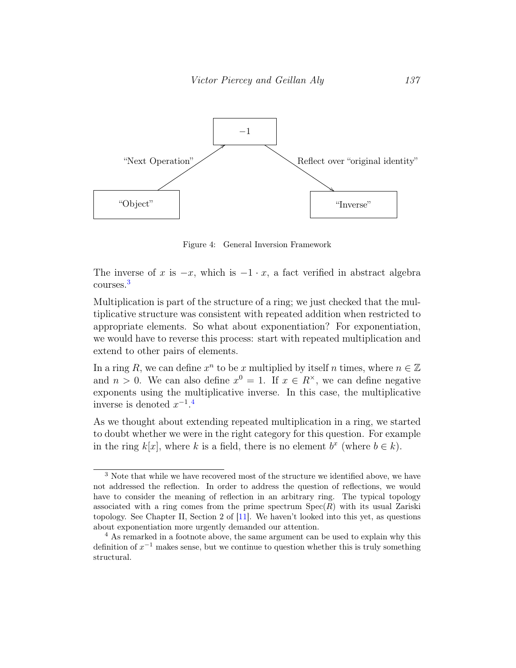

<span id="page-9-0"></span>Figure 4: General Inversion Framework

The inverse of x is  $-x$ , which is  $-1 \cdot x$ , a fact verified in abstract algebra courses.[3](#page-9-1)

Multiplication is part of the structure of a ring; we just checked that the multiplicative structure was consistent with repeated addition when restricted to appropriate elements. So what about exponentiation? For exponentiation, we would have to reverse this process: start with repeated multiplication and extend to other pairs of elements.

In a ring R, we can define  $x^n$  to be x multiplied by itself n times, where  $n \in \mathbb{Z}$ and  $n > 0$ . We can also define  $x^0 = 1$ . If  $x \in R^{\times}$ , we can define negative exponents using the multiplicative inverse. In this case, the multiplicative inverse is denoted  $x^{-1}$ .<sup>[4](#page-9-2)</sup>

As we thought about extending repeated multiplication in a ring, we started to doubt whether we were in the right category for this question. For example in the ring  $k[x]$ , where k is a field, there is no element  $b^x$  (where  $b \in k$ ).

<span id="page-9-1"></span><sup>&</sup>lt;sup>3</sup> Note that while we have recovered most of the structure we identified above, we have not addressed the reflection. In order to address the question of reflections, we would have to consider the meaning of reflection in an arbitrary ring. The typical topology associated with a ring comes from the prime spectrum  $Spec(R)$  with its usual Zariski topology. See Chapter II, Section 2 of [\[11\]](#page-19-8). We haven't looked into this yet, as questions about exponentiation more urgently demanded our attention.

<span id="page-9-2"></span><sup>&</sup>lt;sup>4</sup> As remarked in a footnote above, the same argument can be used to explain why this definition of  $x^{-1}$  makes sense, but we continue to question whether this is truly something structural.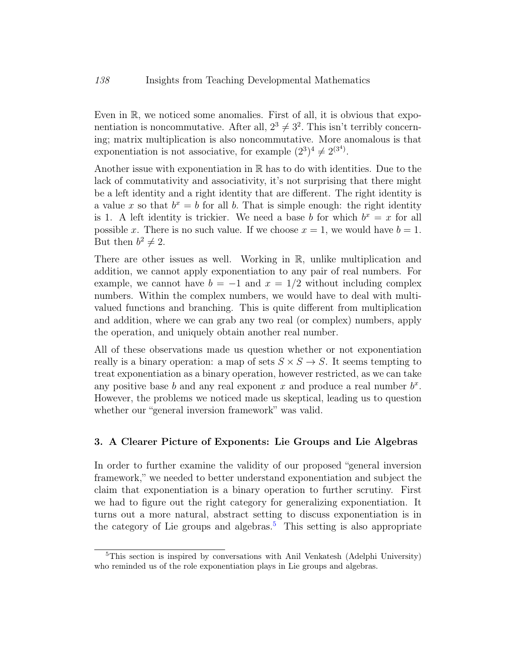Even in R, we noticed some anomalies. First of all, it is obvious that exponentiation is noncommutative. After all,  $2^3 \neq 3^2$ . This isn't terribly concerning; matrix multiplication is also noncommutative. More anomalous is that exponentiation is not associative, for example  $(2^3)^4 \neq 2^{(3^4)}$ .

Another issue with exponentiation in  $\mathbb R$  has to do with identities. Due to the lack of commutativity and associativity, it's not surprising that there might be a left identity and a right identity that are different. The right identity is a value x so that  $b^x = b$  for all b. That is simple enough: the right identity is 1. A left identity is trickier. We need a base b for which  $b^x = x$  for all possible x. There is no such value. If we choose  $x = 1$ , we would have  $b = 1$ . But then  $b^2 \neq 2$ .

There are other issues as well. Working in R, unlike multiplication and addition, we cannot apply exponentiation to any pair of real numbers. For example, we cannot have  $b = -1$  and  $x = 1/2$  without including complex numbers. Within the complex numbers, we would have to deal with multivalued functions and branching. This is quite different from multiplication and addition, where we can grab any two real (or complex) numbers, apply the operation, and uniquely obtain another real number.

All of these observations made us question whether or not exponentiation really is a binary operation: a map of sets  $S \times S \rightarrow S$ . It seems tempting to treat exponentiation as a binary operation, however restricted, as we can take any positive base  $b$  and any real exponent  $x$  and produce a real number  $b^x$ . However, the problems we noticed made us skeptical, leading us to question whether our "general inversion framework" was valid.

#### 3. A Clearer Picture of Exponents: Lie Groups and Lie Algebras

In order to further examine the validity of our proposed "general inversion framework," we needed to better understand exponentiation and subject the claim that exponentiation is a binary operation to further scrutiny. First we had to figure out the right category for generalizing exponentiation. It turns out a more natural, abstract setting to discuss exponentiation is in the category of Lie groups and algebras.<sup>[5](#page-10-0)</sup> This setting is also appropriate

<span id="page-10-0"></span><sup>5</sup>This section is inspired by conversations with Anil Venkatesh (Adelphi University) who reminded us of the role exponentiation plays in Lie groups and algebras.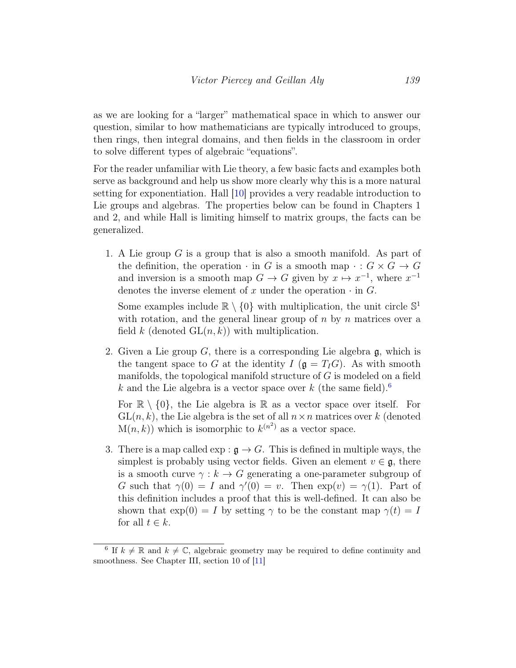as we are looking for a "larger" mathematical space in which to answer our question, similar to how mathematicians are typically introduced to groups, then rings, then integral domains, and then fields in the classroom in order to solve different types of algebraic "equations".

For the reader unfamiliar with Lie theory, a few basic facts and examples both serve as background and help us show more clearly why this is a more natural setting for exponentiation. Hall [\[10\]](#page-19-9) provides a very readable introduction to Lie groups and algebras. The properties below can be found in Chapters 1 and 2, and while Hall is limiting himself to matrix groups, the facts can be generalized.

1. A Lie group G is a group that is also a smooth manifold. As part of the definition, the operation  $\cdot$  in G is a smooth map  $\cdot : G \times G \to G$ and inversion is a smooth map  $G \to G$  given by  $x \mapsto x^{-1}$ , where  $x^{-1}$ denotes the inverse element of x under the operation  $\cdot$  in G.

Some examples include  $\mathbb{R} \setminus \{0\}$  with multiplication, the unit circle  $\mathbb{S}^1$ with rotation, and the general linear group of  $n$  by  $n$  matrices over a field k (denoted  $GL(n, k)$ ) with multiplication.

2. Given a Lie group  $G$ , there is a corresponding Lie algebra  $\mathfrak{g}$ , which is the tangent space to G at the identity  $I(\mathfrak{g} = T_I G)$ . As with smooth manifolds, the topological manifold structure of G is modeled on a field k and the Lie algebra is a vector space over k (the same field).<sup>[6](#page-11-0)</sup>

For  $\mathbb{R} \setminus \{0\}$ , the Lie algebra is  $\mathbb{R}$  as a vector space over itself. For  $GL(n, k)$ , the Lie algebra is the set of all  $n \times n$  matrices over k (denoted  $M(n, k)$  which is isomorphic to  $k^{(n^2)}$  as a vector space.

3. There is a map called  $\exp : \mathfrak{g} \to G$ . This is defined in multiple ways, the simplest is probably using vector fields. Given an element  $v \in \mathfrak{g}$ , there is a smooth curve  $\gamma : k \to G$  generating a one-parameter subgroup of G such that  $\gamma(0) = I$  and  $\gamma'(0) = v$ . Then  $\exp(v) = \gamma(1)$ . Part of this definition includes a proof that this is well-defined. It can also be shown that  $\exp(0) = I$  by setting  $\gamma$  to be the constant map  $\gamma(t) = I$ for all  $t \in k$ .

<span id="page-11-0"></span><sup>&</sup>lt;sup>6</sup> If  $k \neq \mathbb{R}$  and  $k \neq \mathbb{C}$ , algebraic geometry may be required to define continuity and smoothness. See Chapter III, section 10 of [\[11\]](#page-19-8)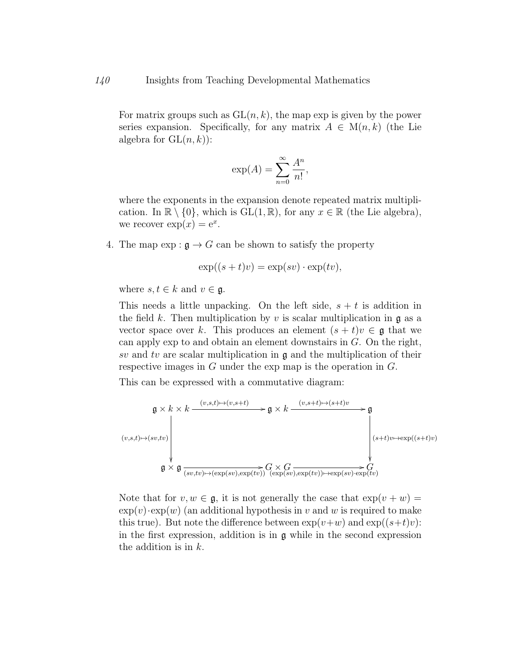For matrix groups such as  $GL(n, k)$ , the map exp is given by the power series expansion. Specifically, for any matrix  $A \in M(n,k)$  (the Lie algebra for  $GL(n, k)$ :

$$
\exp(A) = \sum_{n=0}^{\infty} \frac{A^n}{n!},
$$

where the exponents in the expansion denote repeated matrix multiplication. In  $\mathbb{R} \setminus \{0\}$ , which is  $GL(1,\mathbb{R})$ , for any  $x \in \mathbb{R}$  (the Lie algebra), we recover  $\exp(x) = e^x$ .

4. The map  $\exp : \mathfrak{g} \to G$  can be shown to satisfy the property

$$
\exp((s+t)v) = \exp(sv) \cdot \exp(tv),
$$

where  $s, t \in k$  and  $v \in \mathfrak{g}$ .

This needs a little unpacking. On the left side,  $s + t$  is addition in the field k. Then multiplication by v is scalar multiplication in  $\mathfrak{g}$  as a vector space over k. This produces an element  $(s + t)v \in \mathfrak{g}$  that we can apply exp to and obtain an element downstairs in  $G$ . On the right, sv and tv are scalar multiplication in  $\mathfrak g$  and the multiplication of their respective images in  $G$  under the exp map is the operation in  $G$ .

This can be expressed with a commutative diagram:



Note that for  $v, w \in \mathfrak{g}$ , it is not generally the case that  $\exp(v + w) =$  $\exp(v) \cdot \exp(w)$  (an additional hypothesis in v and w is required to make this true). But note the difference between  $\exp(v+w)$  and  $\exp((s+t)v)$ : in the first expression, addition is in g while in the second expression the addition is in k.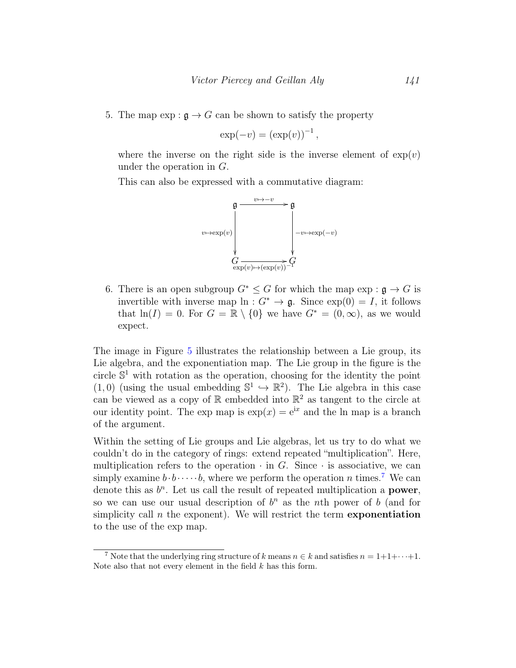5. The map  $\exp : \mathfrak{g} \to G$  can be shown to satisfy the property

$$
\exp(-v) = (\exp(v))^{-1},
$$

where the inverse on the right side is the inverse element of  $\exp(v)$ under the operation in G.

This can also be expressed with a commutative diagram:



6. There is an open subgroup  $G^* \leq G$  for which the map  $\exp : \mathfrak{g} \to G$  is invertible with inverse map  $\ln: G^* \to \mathfrak{g}$ . Since  $\exp(0) = I$ , it follows that  $ln(I) = 0$ . For  $G = \mathbb{R} \setminus \{0\}$  we have  $G^* = (0, \infty)$ , as we would expect.

The image in Figure [5](#page-14-0) illustrates the relationship between a Lie group, its Lie algebra, and the exponentiation map. The Lie group in the figure is the circle  $\mathbb{S}^1$  with rotation as the operation, choosing for the identity the point  $(1,0)$  (using the usual embedding  $\mathbb{S}^1 \hookrightarrow \mathbb{R}^2$ ). The Lie algebra in this case can be viewed as a copy of  $\mathbb R$  embedded into  $\mathbb R^2$  as tangent to the circle at our identity point. The exp map is  $\exp(x) = e^{ix}$  and the ln map is a branch of the argument.

Within the setting of Lie groups and Lie algebras, let us try to do what we couldn't do in the category of rings: extend repeated "multiplication". Here, multiplication refers to the operation  $\cdot$  in G. Since  $\cdot$  is associative, we can simply examine  $b \cdot b \cdots b$ , where we perform the operation n times.<sup>[7](#page-13-0)</sup> We can denote this as  $b<sup>n</sup>$ . Let us call the result of repeated multiplication a **power**, so we can use our usual description of  $b<sup>n</sup>$  as the nth power of b (and for simplicity call  $n$  the exponent). We will restrict the term **exponentiation** to the use of the exp map.

<span id="page-13-0"></span><sup>&</sup>lt;sup>7</sup> Note that the underlying ring structure of k means  $n \in k$  and satisfies  $n = 1+1+\cdots+1$ . Note also that not every element in the field  $k$  has this form.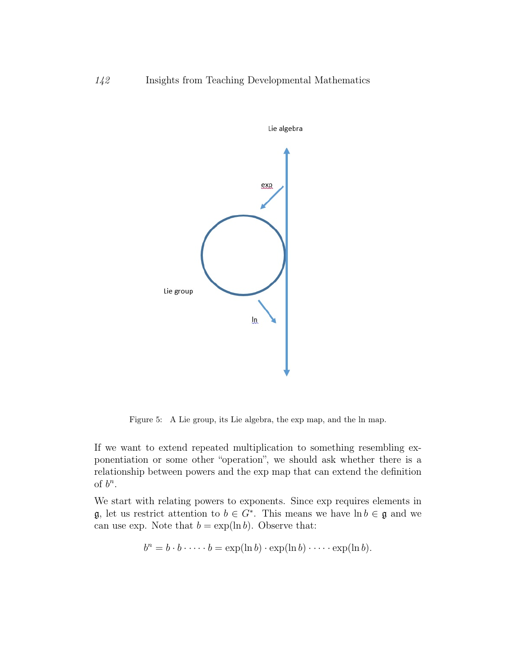

<span id="page-14-0"></span>Figure 5: A Lie group, its Lie algebra, the exp map, and the ln map.

If we want to extend repeated multiplication to something resembling exponentiation or some other "operation", we should ask whether there is a relationship between powers and the exp map that can extend the definition of  $b^n$ .

We start with relating powers to exponents. Since exp requires elements in  $\mathfrak{g}$ , let us restrict attention to  $b \in G^*$ . This means we have  $\ln b \in \mathfrak{g}$  and we can use exp. Note that  $b = \exp(\ln b)$ . Observe that:

$$
b^n = b \cdot b \cdot \dots \cdot b = \exp(\ln b) \cdot \exp(\ln b) \cdot \dots \cdot \exp(\ln b).
$$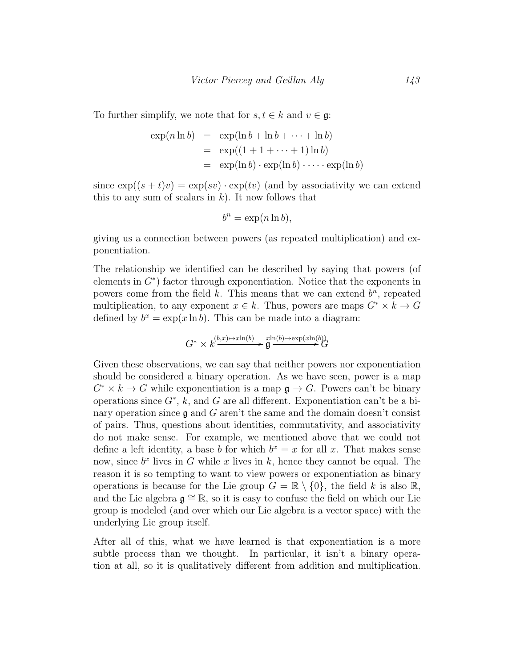To further simplify, we note that for  $s, t \in k$  and  $v \in \mathfrak{g}$ :

$$
\exp(n \ln b) = \exp(\ln b + \ln b + \dots + \ln b)
$$
  
= 
$$
\exp((1 + 1 + \dots + 1) \ln b)
$$
  
= 
$$
\exp(\ln b) \cdot \exp(\ln b) \cdot \dots \cdot \exp(\ln b)
$$

since  $\exp((s+t)v) = \exp(sv) \cdot \exp(tv)$  (and by associativity we can extend this to any sum of scalars in  $k$ ). It now follows that

$$
b^n = \exp(n \ln b),
$$

giving us a connection between powers (as repeated multiplication) and exponentiation.

The relationship we identified can be described by saying that powers (of elements in  $G^*$ ) factor through exponentiation. Notice that the exponents in powers come from the field  $k$ . This means that we can extend  $b<sup>n</sup>$ , repeated multiplication, to any exponent  $x \in k$ . Thus, powers are maps  $G^* \times k \to G$ defined by  $b^x = \exp(x \ln b)$ . This can be made into a diagram:

$$
G^* \times k \xrightarrow{(b,x) \mapsto x \ln(b)} \mathfrak{g} \xrightarrow{x \ln(b) \mapsto \exp(x \ln(b))} G
$$

Given these observations, we can say that neither powers nor exponentiation should be considered a binary operation. As we have seen, power is a map  $G^* \times k \to G$  while exponentiation is a map  $\mathfrak{g} \to G$ . Powers can't be binary operations since  $G^*$ , k, and G are all different. Exponentiation can't be a binary operation since  $\mathfrak g$  and  $G$  aren't the same and the domain doesn't consist of pairs. Thus, questions about identities, commutativity, and associativity do not make sense. For example, we mentioned above that we could not define a left identity, a base b for which  $b^x = x$  for all x. That makes sense now, since  $b^x$  lives in G while x lives in k, hence they cannot be equal. The reason it is so tempting to want to view powers or exponentiation as binary operations is because for the Lie group  $G = \mathbb{R} \setminus \{0\}$ , the field k is also  $\mathbb{R}$ , and the Lie algebra  $\mathfrak{g} \cong \mathbb{R}$ , so it is easy to confuse the field on which our Lie group is modeled (and over which our Lie algebra is a vector space) with the underlying Lie group itself.

After all of this, what we have learned is that exponentiation is a more subtle process than we thought. In particular, it isn't a binary operation at all, so it is qualitatively different from addition and multiplication.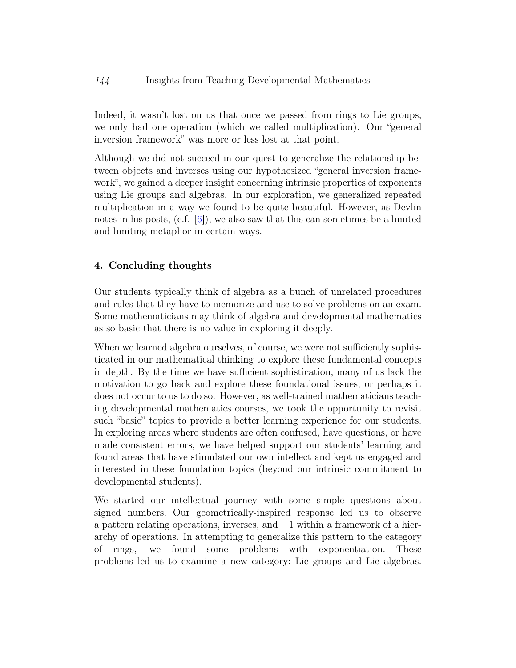Indeed, it wasn't lost on us that once we passed from rings to Lie groups, we only had one operation (which we called multiplication). Our "general inversion framework" was more or less lost at that point.

Although we did not succeed in our quest to generalize the relationship between objects and inverses using our hypothesized "general inversion framework", we gained a deeper insight concerning intrinsic properties of exponents using Lie groups and algebras. In our exploration, we generalized repeated multiplication in a way we found to be quite beautiful. However, as Devlin notes in his posts, (c.f.  $[6]$ ), we also saw that this can sometimes be a limited and limiting metaphor in certain ways.

## 4. Concluding thoughts

Our students typically think of algebra as a bunch of unrelated procedures and rules that they have to memorize and use to solve problems on an exam. Some mathematicians may think of algebra and developmental mathematics as so basic that there is no value in exploring it deeply.

When we learned algebra ourselves, of course, we were not sufficiently sophisticated in our mathematical thinking to explore these fundamental concepts in depth. By the time we have sufficient sophistication, many of us lack the motivation to go back and explore these foundational issues, or perhaps it does not occur to us to do so. However, as well-trained mathematicians teaching developmental mathematics courses, we took the opportunity to revisit such "basic" topics to provide a better learning experience for our students. In exploring areas where students are often confused, have questions, or have made consistent errors, we have helped support our students' learning and found areas that have stimulated our own intellect and kept us engaged and interested in these foundation topics (beyond our intrinsic commitment to developmental students).

We started our intellectual journey with some simple questions about signed numbers. Our geometrically-inspired response led us to observe a pattern relating operations, inverses, and −1 within a framework of a hierarchy of operations. In attempting to generalize this pattern to the category of rings, we found some problems with exponentiation. These problems led us to examine a new category: Lie groups and Lie algebras.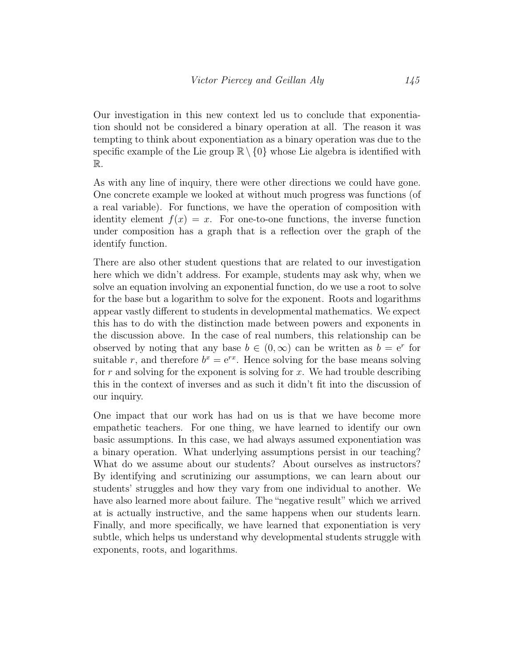Our investigation in this new context led us to conclude that exponentiation should not be considered a binary operation at all. The reason it was tempting to think about exponentiation as a binary operation was due to the specific example of the Lie group  $\mathbb{R} \setminus \{0\}$  whose Lie algebra is identified with R.

As with any line of inquiry, there were other directions we could have gone. One concrete example we looked at without much progress was functions (of a real variable). For functions, we have the operation of composition with identity element  $f(x) = x$ . For one-to-one functions, the inverse function under composition has a graph that is a reflection over the graph of the identify function.

There are also other student questions that are related to our investigation here which we didn't address. For example, students may ask why, when we solve an equation involving an exponential function, do we use a root to solve for the base but a logarithm to solve for the exponent. Roots and logarithms appear vastly different to students in developmental mathematics. We expect this has to do with the distinction made between powers and exponents in the discussion above. In the case of real numbers, this relationship can be observed by noting that any base  $b \in (0, \infty)$  can be written as  $b = e^r$  for suitable r, and therefore  $b^x = e^{rx}$ . Hence solving for the base means solving for  $r$  and solving for the exponent is solving for  $x$ . We had trouble describing this in the context of inverses and as such it didn't fit into the discussion of our inquiry.

One impact that our work has had on us is that we have become more empathetic teachers. For one thing, we have learned to identify our own basic assumptions. In this case, we had always assumed exponentiation was a binary operation. What underlying assumptions persist in our teaching? What do we assume about our students? About ourselves as instructors? By identifying and scrutinizing our assumptions, we can learn about our students' struggles and how they vary from one individual to another. We have also learned more about failure. The "negative result" which we arrived at is actually instructive, and the same happens when our students learn. Finally, and more specifically, we have learned that exponentiation is very subtle, which helps us understand why developmental students struggle with exponents, roots, and logarithms.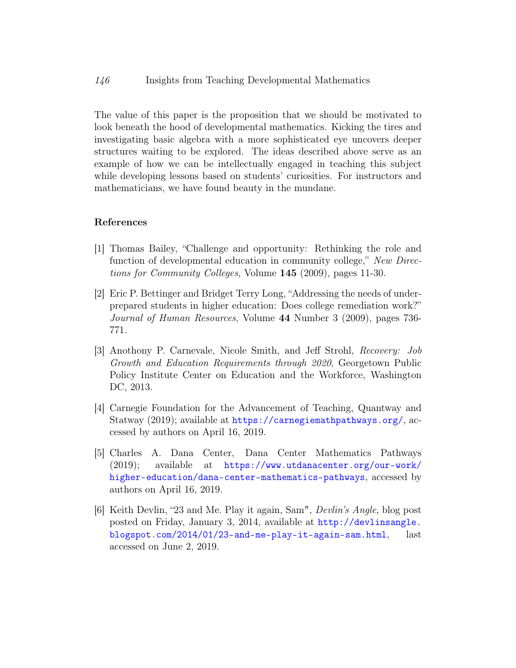The value of this paper is the proposition that we should be motivated to look beneath the hood of developmental mathematics. Kicking the tires and investigating basic algebra with a more sophisticated eye uncovers deeper structures waiting to be explored. The ideas described above serve as an example of how we can be intellectually engaged in teaching this subject while developing lessons based on students' curiosities. For instructors and mathematicians, we have found beauty in the mundane.

#### References

- <span id="page-18-2"></span>[1] Thomas Bailey, "Challenge and opportunity: Rethinking the role and function of developmental education in community college," New Directions for Community Colleges, Volume 145 (2009), pages 11-30.
- <span id="page-18-1"></span>[2] Eric P. Bettinger and Bridget Terry Long, "Addressing the needs of underprepared students in higher education: Does college remediation work?" Journal of Human Resources, Volume 44 Number 3 (2009), pages 736- 771.
- <span id="page-18-0"></span>[3] Anothony P. Carnevale, Nicole Smith, and Jeff Strohl, Recovery: Job Growth and Education Requirements through 2020, Georgetown Public Policy Institute Center on Education and the Workforce, Washington DC, 2013.
- <span id="page-18-4"></span>[4] Carnegie Foundation for the Advancement of Teaching, Quantway and Statway (2019); available at <https://carnegiemathpathways.org/>, accessed by authors on April 16, 2019.
- <span id="page-18-3"></span>[5] Charles A. Dana Center, Dana Center Mathematics Pathways (2019); available at [https://www.utdanacenter.org/our-work/](https://www.utdanacenter.org/our-work/higher-education/dana-center-mathematics-pathways) [higher-education/dana-center-mathematics-pathways](https://www.utdanacenter.org/our-work/higher-education/dana-center-mathematics-pathways), accessed by authors on April 16, 2019.
- <span id="page-18-5"></span>[6] Keith Devlin, "23 and Me. Play it again, Sam", Devlin's Angle, blog post posted on Friday, January 3, 2014, available at [http://devlinsangle.](http://devlinsangle.blogspot.com/2014/01/23-and-me-play-it-again-sam.html) [blogspot.com/2014/01/23-and-me-play-it-again-sam.html](http://devlinsangle.blogspot.com/2014/01/23-and-me-play-it-again-sam.html), last accessed on June 2, 2019.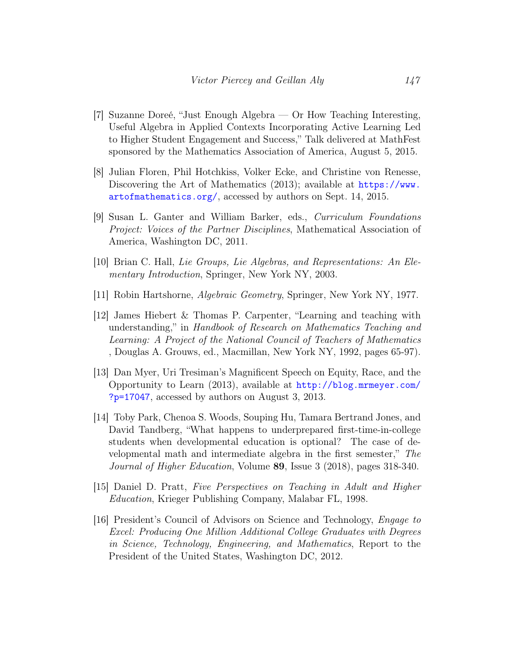- <span id="page-19-4"></span>[7] Suzanne Doreé, "Just Enough Algebra — Or How Teaching Interesting, Useful Algebra in Applied Contexts Incorporating Active Learning Led to Higher Student Engagement and Success," Talk delivered at MathFest sponsored by the Mathematics Association of America, August 5, 2015.
- <span id="page-19-3"></span>[8] Julian Floren, Phil Hotchkiss, Volker Ecke, and Christine von Renesse, Discovering the Art of Mathematics (2013); available at [https://www.](https://www.artofmathematics.org/) [artofmathematics.org/](https://www.artofmathematics.org/), accessed by authors on Sept. 14, 2015.
- <span id="page-19-5"></span>[9] Susan L. Ganter and William Barker, eds., Curriculum Foundations Project: Voices of the Partner Disciplines, Mathematical Association of America, Washington DC, 2011.
- <span id="page-19-9"></span>[10] Brian C. Hall, Lie Groups, Lie Algebras, and Representations: An Elementary Introduction, Springer, New York NY, 2003.
- <span id="page-19-8"></span>[11] Robin Hartshorne, Algebraic Geometry, Springer, New York NY, 1977.
- <span id="page-19-7"></span>[12] James Hiebert & Thomas P. Carpenter, "Learning and teaching with understanding," in Handbook of Research on Mathematics Teaching and Learning: A Project of the National Council of Teachers of Mathematics , Douglas A. Grouws, ed., Macmillan, New York NY, 1992, pages 65-97).
- <span id="page-19-1"></span>[13] Dan Myer, Uri Tresiman's Magnificent Speech on Equity, Race, and the Opportunity to Learn (2013), available at [http://blog.mrmeyer.com/](http://blog.mrmeyer.com/?p=17047) [?p=17047](http://blog.mrmeyer.com/?p=17047), accessed by authors on August 3, 2013.
- <span id="page-19-0"></span>[14] Toby Park, Chenoa S. Woods, Souping Hu, Tamara Bertrand Jones, and David Tandberg, "What happens to underprepared first-time-in-college students when developmental education is optional? The case of developmental math and intermediate algebra in the first semester," The Journal of Higher Education, Volume 89, Issue 3 (2018), pages 318-340.
- <span id="page-19-2"></span>[15] Daniel D. Pratt, Five Perspectives on Teaching in Adult and Higher Education, Krieger Publishing Company, Malabar FL, 1998.
- <span id="page-19-6"></span>[16] President's Council of Advisors on Science and Technology, Engage to Excel: Producing One Million Additional College Graduates with Degrees in Science, Technology, Engineering, and Mathematics, Report to the President of the United States, Washington DC, 2012.